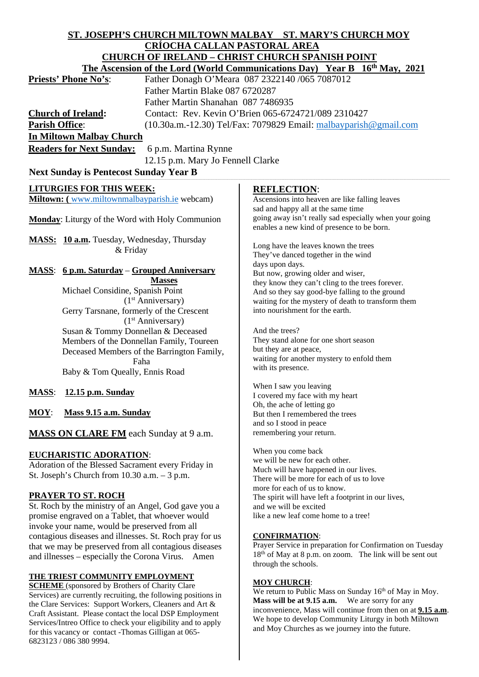#### **ST. JOSEPH'S CHURCH MILTOWN MALBAY ST. MARY'S CHURCH MOY CRÍOCHA CALLAN PASTORAL AREA CHURCH OF IRELAND – CHRIST CHURCH SPANISH POINT The Ascension of the Lord (World Communications Day) Year B 16<sup>th</sup> May, 2021<br>Priests' Phone No's:** Father Donagh O'Meara 087 2322140 /065 7087012 Father Donagh O'Meara 087 2322140 /065 7087012 Father Martin Blake 087 6720287 Father Martin Shanahan 087 7486935 **Church of Ireland:** Contact: Rev. Kevin O'Brien 065-6724721/089 2310427 **Parish Office:** (10.30a.m.-12.30) Tel/Fax: 7079829 Email: [malbayparish@gmail.com](mailto:malbayparish@gmail.com) **In Miltown Malbay Church Readers for Next Sunday:** 6 p.m. Martina Rynne 12.15 p.m. Mary Jo Fennell Clarke **Next Sunday is Pentecost Sunday Year B LITURGIES FOR THIS WEEK: Miltown: (** [www.miltownmalbayparish.ie](http://www.miltownmalbayparish.ie/) webcam) **Monday**: Liturgy of the Word with Holy Communion **MASS: 10 a.m.** Tuesday, Wednesday, Thursday & Friday **MASS**: **6 p.m. Saturday** – **Grouped Anniversary Masses** Michael Considine, Spanish Point (1st Anniversary) Gerry Tarsnane, formerly of the Crescent (1st Anniversary) Susan & Tommy Donnellan & Deceased Members of the Donnellan Family, Toureen Deceased Members of the Barrington Family, Faha Baby & Tom Queally, Ennis Road **MASS**: **12.15 p.m. Sunday MOY**: **Mass 9.15 a.m. Sunday MASS ON CLARE FM** each Sunday at 9 a.m. **EUCHARISTIC ADORATION**: Adoration of the Blessed Sacrament every Friday in St. Joseph's Church from 10.30 a.m. – 3 p.m. **PRAYER TO ST. ROCH** St. Roch by the ministry of an Angel, God gave you a promise engraved on a Tablet, that whoever would invoke your name, would be preserved from all contagious diseases and illnesses. St. Roch pray for us that we may be preserved from all contagious diseases and illnesses – especially the Corona Virus. Amen **THE TRIEST COMMUNITY EMPLOYMENT SCHEME** (sponsored by Brothers of Charity Clare **REFLECTION**: Ascensions into heaven are like falling leaves sad and happy all at the same time going away isn't really sad especially when your going enables a new kind of presence to be born. Long have the leaves known the trees They've danced together in the wind days upon days. But now, growing older and wiser, they know they can't cling to the trees forever. And so they say good-bye falling to the ground waiting for the mystery of death to transform them into nourishment for the earth. And the trees? They stand alone for one short season but they are at peace, waiting for another mystery to enfold them with its presence. When I saw you leaving I covered my face with my heart Oh, the ache of letting go But then I remembered the trees and so I stood in peace remembering your return. When you come back we will be new for each other. Much will have happened in our lives. There will be more for each of us to love more for each of us to know. The spirit will have left a footprint in our lives, and we will be excited like a new leaf come home to a tree! **CONFIRMATION**: Prayer Service in preparation for Confirmation on Tuesday 18th of May at 8 p.m. on zoom. The link will be sent out through the schools. **MOY CHURCH**:

Services) are currently recruiting, the following positions in the Clare Services: Support Workers, Cleaners and Art & Craft Assistant. Please contact the local DSP Employment Services/Intreo Office to check your eligibility and to apply for this vacancy or contact -Thomas Gilligan at 065- 6823123 / 086 380 9994.

## We return to Public Mass on Sunday 16<sup>th</sup> of May in Moy. **Mass will be at 9.15 a.m.** We are sorry for any inconvenience, Mass will continue from then on at **9.15 a.m**. We hope to develop Community Liturgy in both Miltown and Moy Churches as we journey into the future.